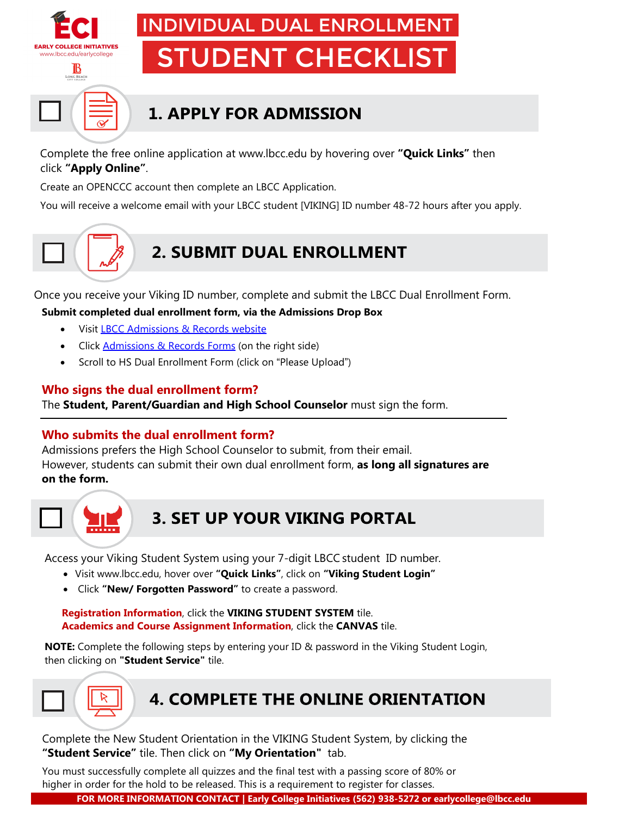

# INDIVIDUAL DUAL ENROLLMENT STUDENT CHECKLIST

# **1. APPLY FOR ADMISSION**

Complete the free online application at [www.lbcc.edu](http://www.lbcc.edu/) by hovering over **"Quick Links"** then click **["Apply Online"](https://www.opencccapply.net/gateway/apply?cccMisCode=841)**.

Create an OPENCCC account then complete an LBCC Application.

You will receive a welcome email with your LBCC student [VIKING] ID number 48-72 hours after you apply.

## **[2. SUBMIT DUAL ENROLLMENT](https://youtu.be/hD442SICKiY)**

Once you receive your Viking ID number, complete and submit the LBCC Dual Enrollment Form.

**Submit completed dual enrollment form, via the Admissions Drop Box** 

- Visit [LBCC Admissions & Records website](https://www.lbcc.edu/admissions-records)
- Click [Admissions & Records Forms](https://www.lbcc.edu/admissions-and-records-forms) (on the right side)
- Scroll to HS Dual Enrollment Form (click on "[Please Upload](https://lbccd-my.sharepoint.com/personal/admissions_lbcc_edu/_layouts/15/onedrive.aspx?p=26&s=aHR0cHM6Ly9sYmNjZC1teS5zaGFyZXBvaW50LmNvbS86ZjovZy9wZXJzb25hbC9hZG1pc3Npb25zX2xiY2NfZWR1L0VrcEdPS2x2ai1wQ29WVWZ0anoyajdnQkY0SVhKaDlILTQza1BqZHFCM096Q0E&originalPath=aHR0cHM6Ly9sYmNjZC1teS5zaGFyZXBvaW50LmNvbS86ZjovZy9wZXJzb25hbC9hZG1pc3Npb25zX2xiY2NfZWR1L0VrcEdPS2x2ai1wQ29WVWZ0anoyajdnQkY0SVhKaDlILTQza1BqZHFCM096Q0E%5FcnRpbWU9dDJJSHFqaFoyVWc)")

#### **Who signs the dual enrollment form?**

The **Student, Parent/Guardian and High School Counselor** must sign the form.

#### **Who submits the dual enrollment form?**

Admissions prefers the High School Counselor to submit, from their email. However, students can submit their own dual enrollment form, **as long all signatures are on the form.**



### **3. SET UP YOUR VIKING PORTAL**

Access your Viking Student System using your 7-digit LBCC student ID number.

- Visit [www.lbcc.edu, h](http://www.lbcc.edu/)over over **"Quick Links"**, click on **"Viking Student Login"**
- Click **"New/ Forgotten Password"** to create a password.

**Registration Information**, click the **VIKING STUDENT SYSTEM** tile. **Academics and Course Assignment Information**, click the **CANVAS** tile.

**NOTE:** Complete the following steps by entering your ID & password in the Viking Student Login, then clicking on **"Student Service"** tile.



### **4. COMPLETE THE ONLINE ORIENTATION**

Complete the New Student Orientation in the VIKING Student System, by clicking the **"Student Service"** tile. Then click on **"My Orientation"** tab.

You must successfully complete all quizzes and the final test with a passing score of 80% or higher in order for the hold to be released. This is a requirement to register for classes.

**FOR MORE INFORMATION CONTACT | Early College Initiatives (562) 938-5272 or earlycollege@lbcc.edu**